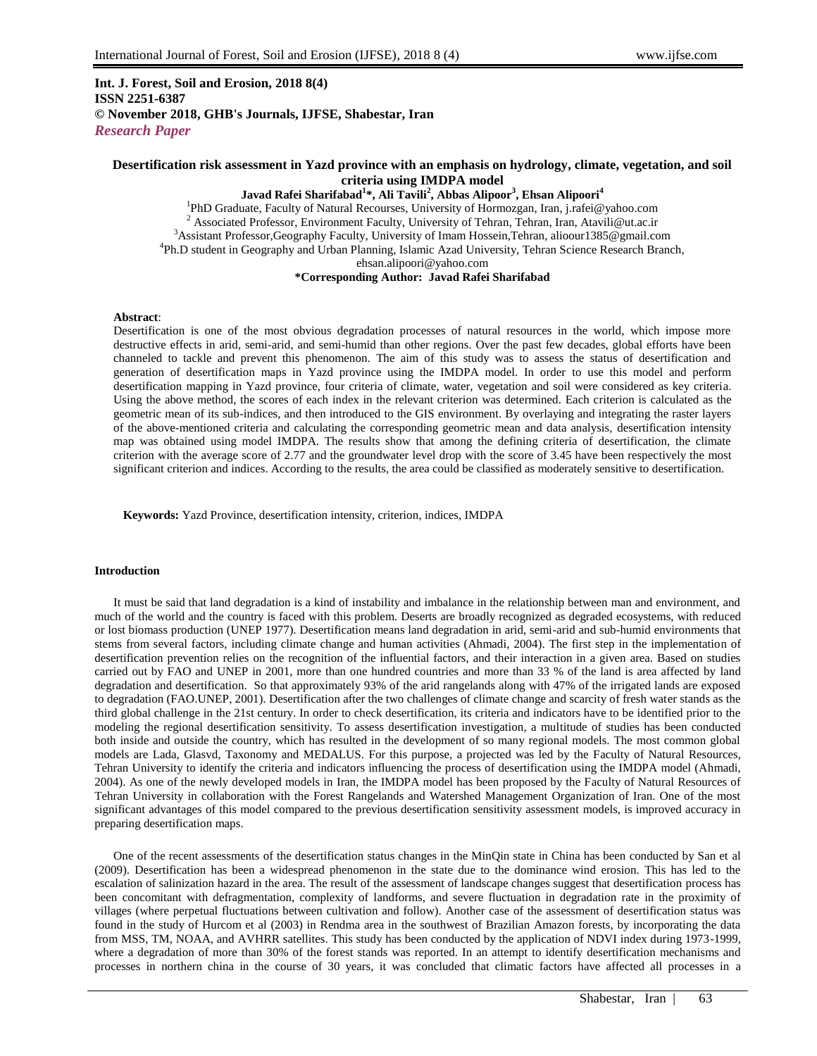# **Int. J. Forest, Soil and Erosion, 2018 8(4) ISSN 2251-6387 © November 2018, GHB's Journals, IJFSE, Shabestar, Iran** *Research Paper*

# **Desertification risk assessment in Yazd province with an emphasis on hydrology, climate, vegetation, and soil criteria using IMDPA model**

**Javad Rafei Sharifabad<sup>1</sup> \*, Ali Tavili<sup>2</sup> , Abbas Alipoor<sup>3</sup> , Ehsan Alipoori<sup>4</sup>** <sup>1</sup>PhD Graduate, Faculty of Natural Recourses, University of Hormozgan, Iran, j.rafei@yahoo.com <sup>2</sup> Associated Professor, Environment Faculty, University of Tehran, Tehran, Iran, Atavili@ut.ac.ir  $3$ Assistant Professor,Geography Faculty, University of Imam Hossein,Tehran, alioour1385@gmail.com 4 Ph.D student in Geography and Urban Planning, Islamic Azad University, Tehran Science Research Branch, ehsan.alipoori@yahoo.com **\*Corresponding Author: Javad Rafei Sharifabad**

# **Abstract**:

Desertification is one of the most obvious degradation processes of natural resources in the world, which impose more destructive effects in arid, semi-arid, and semi-humid than other regions. Over the past few decades, global efforts have been channeled to tackle and prevent this phenomenon. The aim of this study was to assess the status of desertification and generation of desertification maps in Yazd province using the IMDPA model. In order to use this model and perform desertification mapping in Yazd province, four criteria of climate, water, vegetation and soil were considered as key criteria. Using the above method, the scores of each index in the relevant criterion was determined. Each criterion is calculated as the geometric mean of its sub-indices, and then introduced to the GIS environment. By overlaying and integrating the raster layers of the above-mentioned criteria and calculating the corresponding geometric mean and data analysis, desertification intensity map was obtained using model IMDPA. The results show that among the defining criteria of desertification, the climate criterion with the average score of 2.77 and the groundwater level drop with the score of 3.45 have been respectively the most significant criterion and indices. According to the results, the area could be classified as moderately sensitive to desertification.

**Keywords:** Yazd Province, desertification intensity, criterion, indices, IMDPA

# **Introduction**

It must be said that land degradation is a kind of instability and imbalance in the relationship between man and environment, and much of the world and the country is faced with this problem. Deserts are broadly recognized as degraded ecosystems, with reduced or lost biomass production (UNEP 1977). Desertification means land degradation in arid, semi-arid and sub-humid environments that stems from several factors, including climate change and human activities (Ahmadi, 2004). The first step in the implementation of desertification prevention relies on the recognition of the influential factors, and their interaction in a given area. Based on studies carried out by FAO and UNEP in 2001, more than one hundred countries and more than 33 % of the land is area affected by land degradation and desertification. So that approximately 93% of the arid rangelands along with 47% of the irrigated lands are exposed to degradation (FAO.UNEP, 2001). Desertification after the two challenges of climate change and scarcity of fresh water stands as the third global challenge in the 21st century. In order to check desertification, its criteria and indicators have to be identified prior to the modeling the regional desertification sensitivity. To assess desertification investigation, a multitude of studies has been conducted both inside and outside the country, which has resulted in the development of so many regional models. The most common global models are Lada, Glasvd, Taxonomy and MEDALUS. For this purpose, a projected was led by the Faculty of Natural Resources, Tehran University to identify the criteria and indicators influencing the process of desertification using the IMDPA model (Ahmadi, 2004). As one of the newly developed models in Iran, the IMDPA model has been proposed by the Faculty of Natural Resources of Tehran University in collaboration with the Forest Rangelands and Watershed Management Organization of Iran. One of the most significant advantages of this model compared to the previous desertification sensitivity assessment models, is improved accuracy in preparing desertification maps.

One of the recent assessments of the desertification status changes in the MinQin state in China has been conducted by San et al (2009). Desertification has been a widespread phenomenon in the state due to the dominance wind erosion. This has led to the escalation of salinization hazard in the area. The result of the assessment of landscape changes suggest that desertification process has been concomitant with defragmentation, complexity of landforms, and severe fluctuation in degradation rate in the proximity of villages (where perpetual fluctuations between cultivation and follow). Another case of the assessment of desertification status was found in the study of Hurcom et al (2003) in Rendma area in the southwest of Brazilian Amazon forests, by incorporating the data from MSS, TM, NOAA, and AVHRR satellites. This study has been conducted by the application of NDVI index during 1973-1999, where a degradation of more than 30% of the forest stands was reported. In an attempt to identify desertification mechanisms and processes in northern china in the course of 30 years, it was concluded that climatic factors have affected all processes in a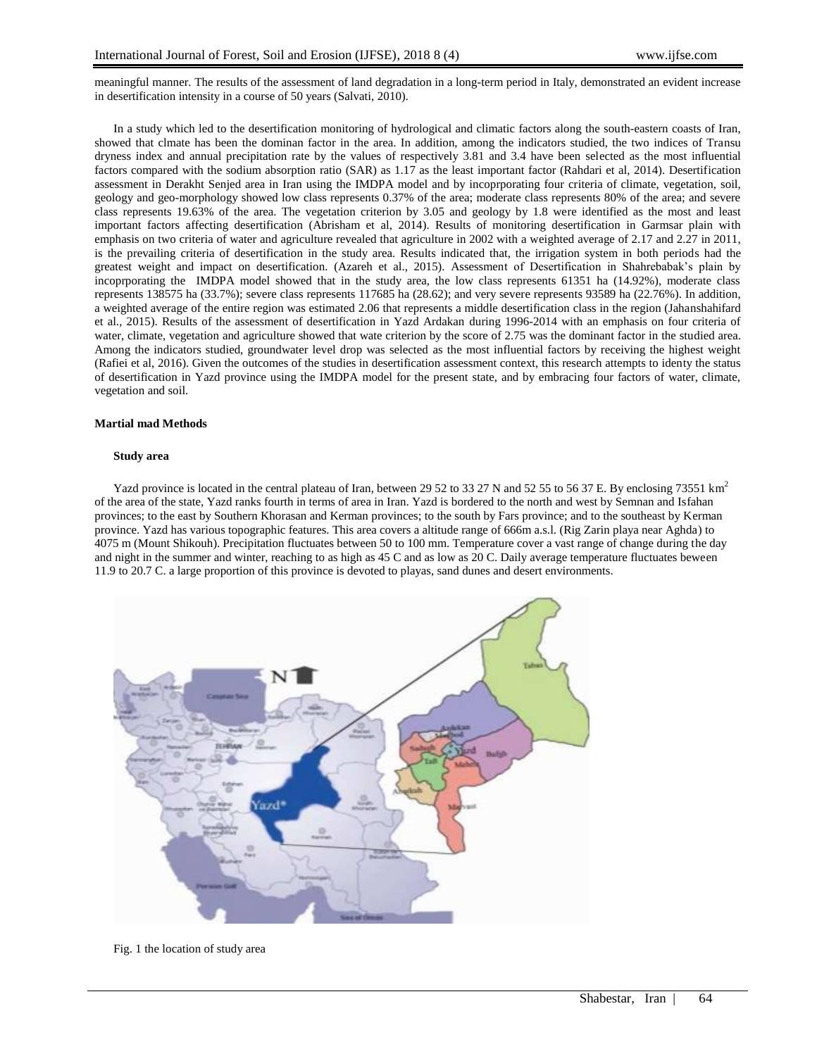meaningful manner. The results of the assessment of land degradation in a long-term period in Italy, demonstrated an evident increase in desertification intensity in a course of 50 years (Salvati, 2010).

In a study which led to the desertification monitoring of hydrological and climatic factors along the south-eastern coasts of Iran, showed that clmate has been the dominan factor in the area. In addition, among the indicators studied, the two indices of Transu dryness index and annual precipitation rate by the values of respectively 3.81 and 3.4 have been selected as the most influential factors compared with the sodium absorption ratio (SAR) as 1.17 as the least important factor (Rahdari et al, 2014). Desertification assessment in Derakht Senjed area in Iran using the IMDPA model and by incoprporating four criteria of climate, vegetation, soil, geology and geo-morphology showed low class represents 0.37% of the area; moderate class represents 80% of the area; and severe class represents 19.63% of the area. The vegetation criterion by 3.05 and geology by 1.8 were identified as the most and least important factors affecting desertification (Abrisham et al, 2014). Results of monitoring desertification in Garmsar plain with emphasis on two criteria of water and agriculture revealed that agriculture in 2002 with a weighted average of 2.17 and 2.27 in 2011, is the prevailing criteria of desertification in the study area. Results indicated that, the irrigation system in both periods had the greatest weight and impact on desertification. (Azareh et al., 2015). Assessment of Desertification in Shahrebabak's plain by incoprporating the IMDPA model showed that in the study area, the low class represents 61351 ha (14.92%), moderate class represents 138575 ha (33.7%); severe class represents 117685 ha (28.62); and very severe represents 93589 ha (22.76%). In addition, a weighted average of the entire region was estimated 2.06 that represents a middle desertification class in the region (Jahanshahifard et al., 2015). Results of the assessment of desertification in Yazd Ardakan during 1996-2014 with an emphasis on four criteria of water, climate, vegetation and agriculture showed that wate criterion by the score of 2.75 was the dominant factor in the studied area. Among the indicators studied, groundwater level drop was selected as the most influential factors by receiving the highest weight (Rafiei et al, 2016). Given the outcomes of the studies in desertification assessment context, this research attempts to identy the status of desertification in Yazd province using the IMDPA model for the present state, and by embracing four factors of water, climate, vegetation and soil.

### **Martial mad Methods**

### **Study area**

Yazd province is located in the central plateau of Iran, between 29 52 to 33 27 N and 52 55 to 56 37 E. By enclosing 73551  $\text{km}^2$ of the area of the state, Yazd ranks fourth in terms of area in Iran. Yazd is bordered to the north and west by Semnan and Isfahan provinces; to the east by Southern Khorasan and Kerman provinces; to the south by Fars province; and to the southeast by Kerman province. Yazd has various topographic features. This area covers a altitude range of 666m a.s.l. (Rig Zarin playa near Aghda) to 4075 m (Mount Shikouh). Precipitation fluctuates between 50 to 100 mm. Temperature cover a vast range of change during the day and night in the summer and winter, reaching to as high as 45 C and as low as 20 C. Daily average temperature fluctuates beween 11.9 to 20.7 C. a large proportion of this province is devoted to playas, sand dunes and desert environments.



Fig. 1 the location of study area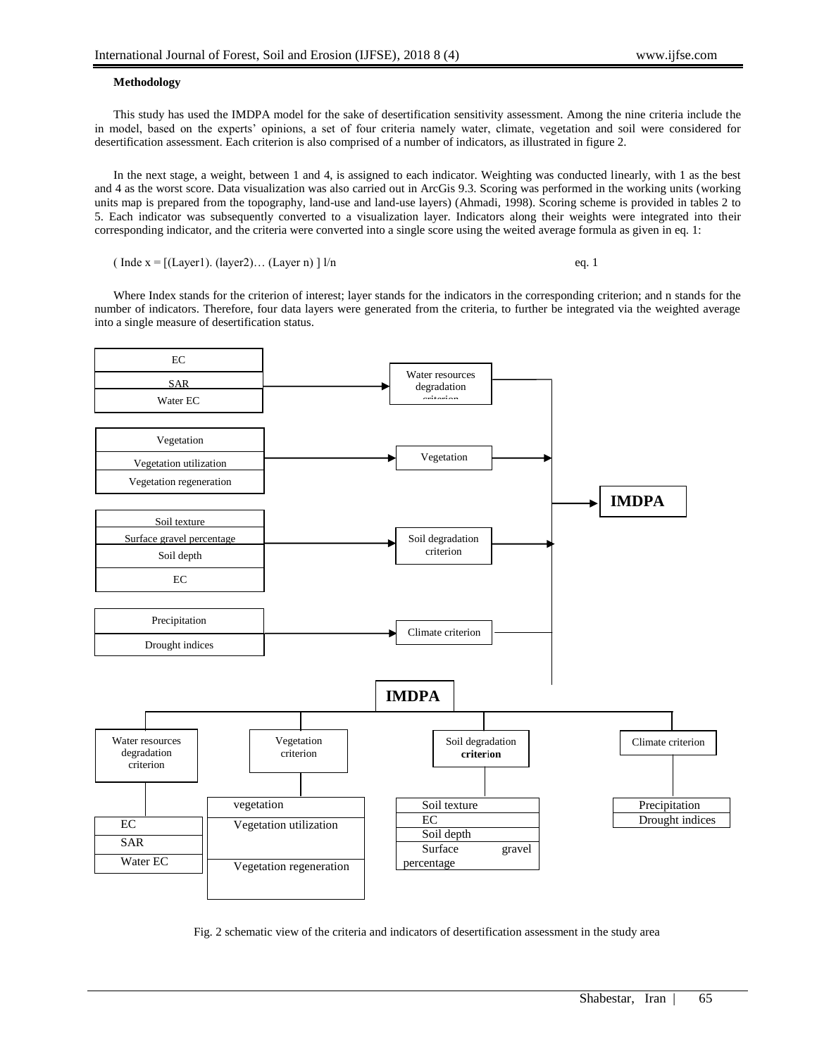### **Methodology**

This study has used the IMDPA model for the sake of desertification sensitivity assessment. Among the nine criteria include the in model, based on the experts' opinions, a set of four criteria namely water, climate, vegetation and soil were considered for desertification assessment. Each criterion is also comprised of a number of indicators, as illustrated in figure 2.

In the next stage, a weight, between 1 and 4, is assigned to each indicator. Weighting was conducted linearly, with 1 as the best and 4 as the worst score. Data visualization was also carried out in ArcGis 9.3. Scoring was performed in the working units (working units map is prepared from the topography, land-use and land-use layers) (Ahmadi, 1998). Scoring scheme is provided in tables 2 to 5. Each indicator was subsequently converted to a visualization layer. Indicators along their weights were integrated into their corresponding indicator, and the criteria were converted into a single score using the weited average formula as given in eq. 1:

 $\text{(Index} = \left[ \text{(Layer1)}. \text{(layer2)}. \text{(Layer n)} \right] \frac{1}{n}$  eq. 1

Where Index stands for the criterion of interest; layer stands for the indicators in the corresponding criterion; and n stands for the number of indicators. Therefore, four data layers were generated from the criteria, to further be integrated via the weighted average into a single measure of desertification status.



Fig. 2 schematic view of the criteria and indicators of desertification assessment in the study area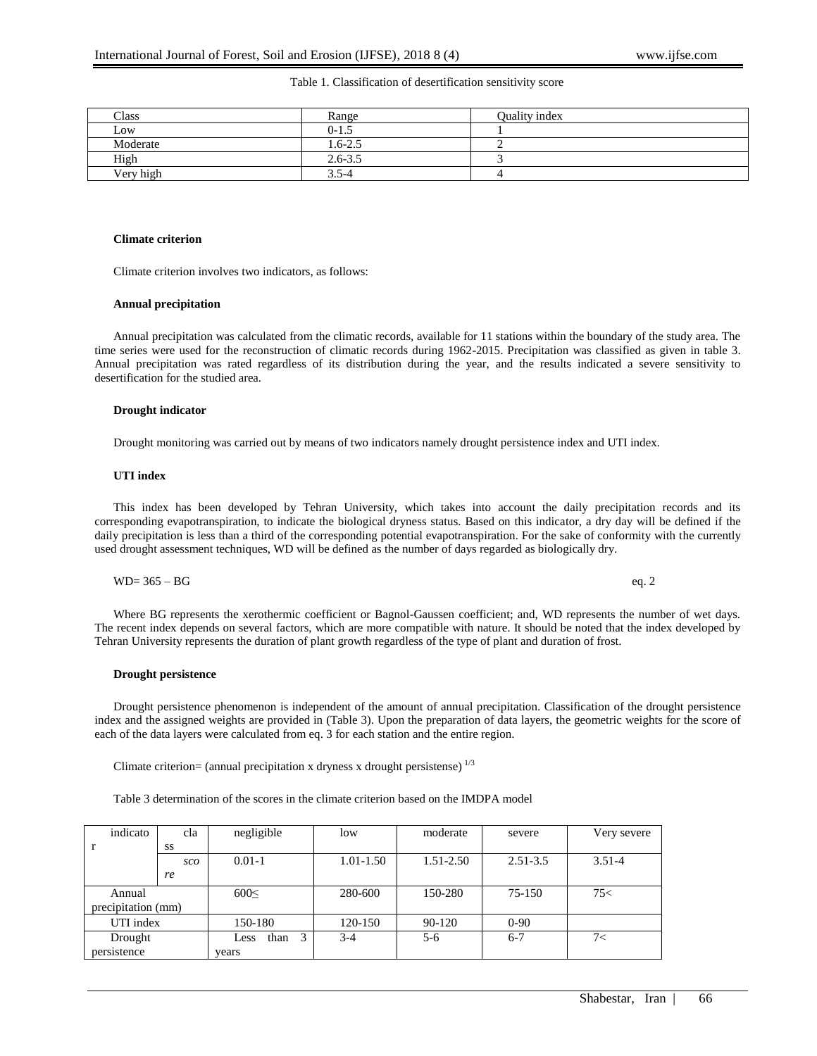#### Table 1. Classification of desertification sensitivity score

| Class     | Range       | Quality index |
|-----------|-------------|---------------|
| Low       | $0-1.5$     |               |
| Moderate  | 1.6-2.5     |               |
| High      | $2.6 - 3.5$ |               |
| Very high | $3.5 - 4$   |               |

#### **Climate criterion**

Climate criterion involves two indicators, as follows:

# **Annual precipitation**

Annual precipitation was calculated from the climatic records, available for 11 stations within the boundary of the study area. The time series were used for the reconstruction of climatic records during 1962-2015. Precipitation was classified as given in table 3. Annual precipitation was rated regardless of its distribution during the year, and the results indicated a severe sensitivity to desertification for the studied area.

#### **Drought indicator**

Drought monitoring was carried out by means of two indicators namely drought persistence index and UTI index.

### **UTI index**

This index has been developed by Tehran University, which takes into account the daily precipitation records and its corresponding evapotranspiration, to indicate the biological dryness status. Based on this indicator, a dry day will be defined if the daily precipitation is less than a third of the corresponding potential evapotranspiration. For the sake of conformity with the currently used drought assessment techniques, WD will be defined as the number of days regarded as biologically dry.

 $WD = 365 - BG$  eq. 2

Where BG represents the xerothermic coefficient or Bagnol-Gaussen coefficient; and, WD represents the number of wet days. The recent index depends on several factors, which are more compatible with nature. It should be noted that the index developed by Tehran University represents the duration of plant growth regardless of the type of plant and duration of frost.

#### **Drought persistence**

Drought persistence phenomenon is independent of the amount of annual precipitation. Classification of the drought persistence index and the assigned weights are provided in (Table 3). Upon the preparation of data layers, the geometric weights for the score of each of the data layers were calculated from eq. 3 for each station and the entire region.

Climate criterion= (annual precipitation x dryness x drought persistense)  $^{1/3}$ 

Table 3 determination of the scores in the climate criterion based on the IMDPA model

| indicato           | cla | negligible        | low           | moderate      | severe       | Very severe |
|--------------------|-----|-------------------|---------------|---------------|--------------|-------------|
|                    | SS  |                   |               |               |              |             |
|                    | sco | $0.01 - 1$        | $1.01 - 1.50$ | $1.51 - 2.50$ | $2.51 - 3.5$ | $3.51 - 4$  |
|                    | re  |                   |               |               |              |             |
| Annual             |     | $600 \leq$        | 280-600       | 150-280       | 75-150       | 75<         |
| precipitation (mm) |     |                   |               |               |              |             |
| UTI index          |     | 150-180           | 120-150       | 90-120        | $0 - 90$     |             |
| Drought            |     | 3<br>than<br>Less | $3-4$         | $5-6$         | $6 - 7$      | 7<          |
| persistence        |     | years             |               |               |              |             |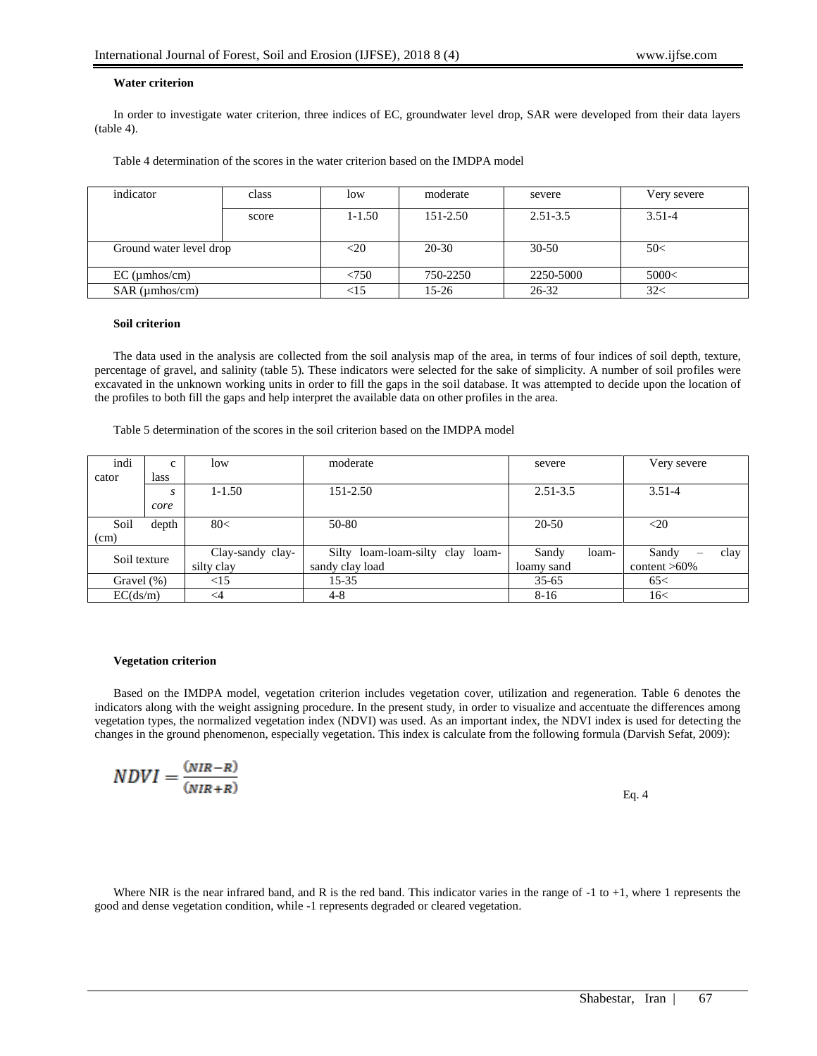#### **Water criterion**

In order to investigate water criterion, three indices of EC, groundwater level drop, SAR were developed from their data layers (table 4).

Table 4 determination of the scores in the water criterion based on the IMDPA model

| indicator               | class | low         | moderate  | severe       | Very severe |
|-------------------------|-------|-------------|-----------|--------------|-------------|
|                         | score | $1 - 1.50$  | 151-2.50  | $2.51 - 3.5$ | $3.51 - 4$  |
| Ground water level drop |       | $<$ 20      | $20 - 30$ | $30-50$      | 50<         |
| $EC$ (umhos/cm)         |       | < 750       | 750-2250  | 2250-5000    | 5000<       |
| $SAR$ ( $\mu$ mhos/cm)  |       | $<$ 15 $\,$ | 15-26     | $26 - 32$    | 32<         |

#### **Soil criterion**

The data used in the analysis are collected from the soil analysis map of the area, in terms of four indices of soil depth, texture, percentage of gravel, and salinity (table 5). These indicators were selected for the sake of simplicity. A number of soil profiles were excavated in the unknown working units in order to fill the gaps in the soil database. It was attempted to decide upon the location of the profiles to both fill the gaps and help interpret the available data on other profiles in the area.

Table 5 determination of the scores in the soil criterion based on the IMDPA model

| indi          | $\mathbf{c}$ | low              | moderate                         | severe         | Very severe     |
|---------------|--------------|------------------|----------------------------------|----------------|-----------------|
| cator         | lass         |                  |                                  |                |                 |
|               | S            | $1 - 1.50$       | 151-2.50                         | $2.51 - 3.5$   | $3.51 - 4$      |
|               | core         |                  |                                  |                |                 |
| Soil          | depth        | 80<              | 50-80                            | 20-50          | $<$ 20          |
| (cm)          |              |                  |                                  |                |                 |
| Soil texture  |              | Clay-sandy clay- | Silty loam-loam-silty clay loam- | Sandy<br>loam- | clay<br>Sandy   |
|               |              | silty clay       | sandy clay load                  | loamy sand     | content $>60\%$ |
| Gravel $(\%)$ |              | <15              | $15 - 35$                        | $35 - 65$      | 65<             |
| EC(ds/m)      |              | $\leq$ 4         | $4 - 8$                          | $8 - 16$       | 16<             |

#### **Vegetation criterion**

Based on the IMDPA model, vegetation criterion includes vegetation cover, utilization and regeneration. Table 6 denotes the indicators along with the weight assigning procedure. In the present study, in order to visualize and accentuate the differences among vegetation types, the normalized vegetation index (NDVI) was used. As an important index, the NDVI index is used for detecting the changes in the ground phenomenon, especially vegetation. This index is calculate from the following formula (Darvish Sefat, 2009):

$$
NDVI = \frac{(NIR - R)}{(NIR + R)}
$$

Eq. 4

Where NIR is the near infrared band, and R is the red band. This indicator varies in the range of  $-1$  to  $+1$ , where 1 represents the good and dense vegetation condition, while -1 represents degraded or cleared vegetation.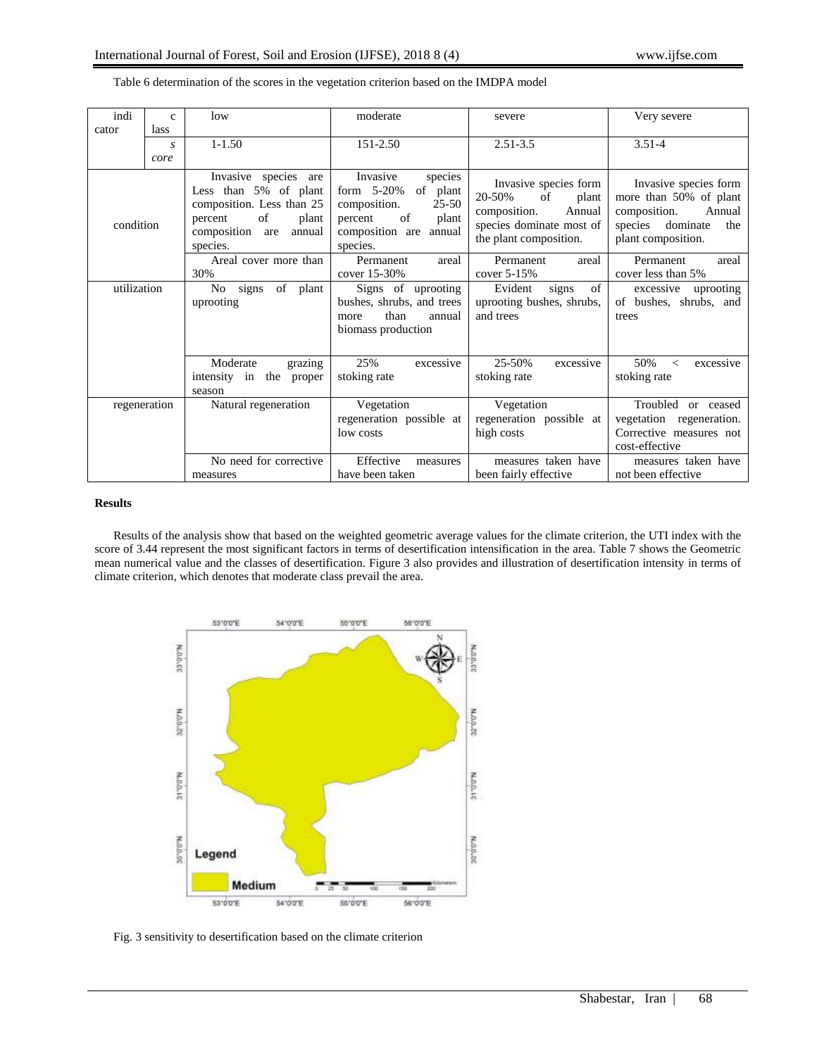| indi         | $\mathbf{c}$ | low                                                                                                                                              | moderate                                                                                                                                        | severe                                                                                                                         | Very severe                                                                                                                   |
|--------------|--------------|--------------------------------------------------------------------------------------------------------------------------------------------------|-------------------------------------------------------------------------------------------------------------------------------------------------|--------------------------------------------------------------------------------------------------------------------------------|-------------------------------------------------------------------------------------------------------------------------------|
| cator        | lass         |                                                                                                                                                  |                                                                                                                                                 |                                                                                                                                |                                                                                                                               |
|              | S.           | $1 - 1.50$                                                                                                                                       | 151-2.50                                                                                                                                        | $2.51 - 3.5$                                                                                                                   | $3.51 - 4$                                                                                                                    |
|              | core         |                                                                                                                                                  |                                                                                                                                                 |                                                                                                                                |                                                                                                                               |
| condition    |              | Invasive species are<br>Less than 5% of plant<br>composition. Less than 25<br>of<br>percent<br>plant<br>composition<br>annual<br>are<br>species. | Invasive<br>species<br>form $5-20%$<br>of plant<br>$25 - 50$<br>composition.<br>of<br>percent<br>plant<br>composition are<br>annual<br>species. | Invasive species form<br>20-50%<br>of<br>plant<br>composition.<br>Annual<br>species dominate most of<br>the plant composition. | Invasive species form<br>more than 50% of plant<br>composition.<br>Annual<br>dominate<br>species<br>the<br>plant composition. |
|              |              | Areal cover more than<br>30%                                                                                                                     | areal<br>Permanent<br>cover 15-30%                                                                                                              | Permanent<br>areal<br>cover 5-15%                                                                                              | Permanent<br>areal<br>cover less than 5%                                                                                      |
| utilization  |              | signs<br>of plant<br>No.<br>uprooting                                                                                                            | Signs of uprooting<br>bushes, shrubs, and trees<br>than<br>annual<br>more<br>biomass production                                                 | of<br>Evident<br>signs<br>uprooting bushes, shrubs,<br>and trees                                                               | uprooting<br>excessive<br>of bushes, shrubs, and<br>trees                                                                     |
|              |              | Moderate<br>grazing<br>intensity in the<br>proper<br>season                                                                                      | 25%<br>excessive<br>stoking rate                                                                                                                | 25-50%<br>excessive<br>stoking rate                                                                                            | 50%<br>excessive<br>$\,<\,$<br>stoking rate                                                                                   |
| regeneration |              | Natural regeneration                                                                                                                             | Vegetation<br>regeneration possible at<br>low costs                                                                                             | Vegetation<br>regeneration possible at<br>high costs                                                                           | Troubled<br>or ceased<br>vegetation regeneration.<br>Corrective measures not<br>cost-effective                                |
|              |              | No need for corrective<br>measures                                                                                                               | Effective<br>measures<br>have been taken                                                                                                        | measures taken have<br>been fairly effective                                                                                   | measures taken have<br>not been effective                                                                                     |

Table 6 determination of the scores in the vegetation criterion based on the IMDPA model

### **Results**

Results of the analysis show that based on the weighted geometric average values for the climate criterion, the UTI index with the score of 3.44 represent the most significant factors in terms of desertification intensification in the area. Table 7 shows the Geometric mean numerical value and the classes of desertification. Figure 3 also provides and illustration of desertification intensity in terms of climate criterion, which denotes that moderate class prevail the area.



Fig. 3 sensitivity to desertification based on the climate criterion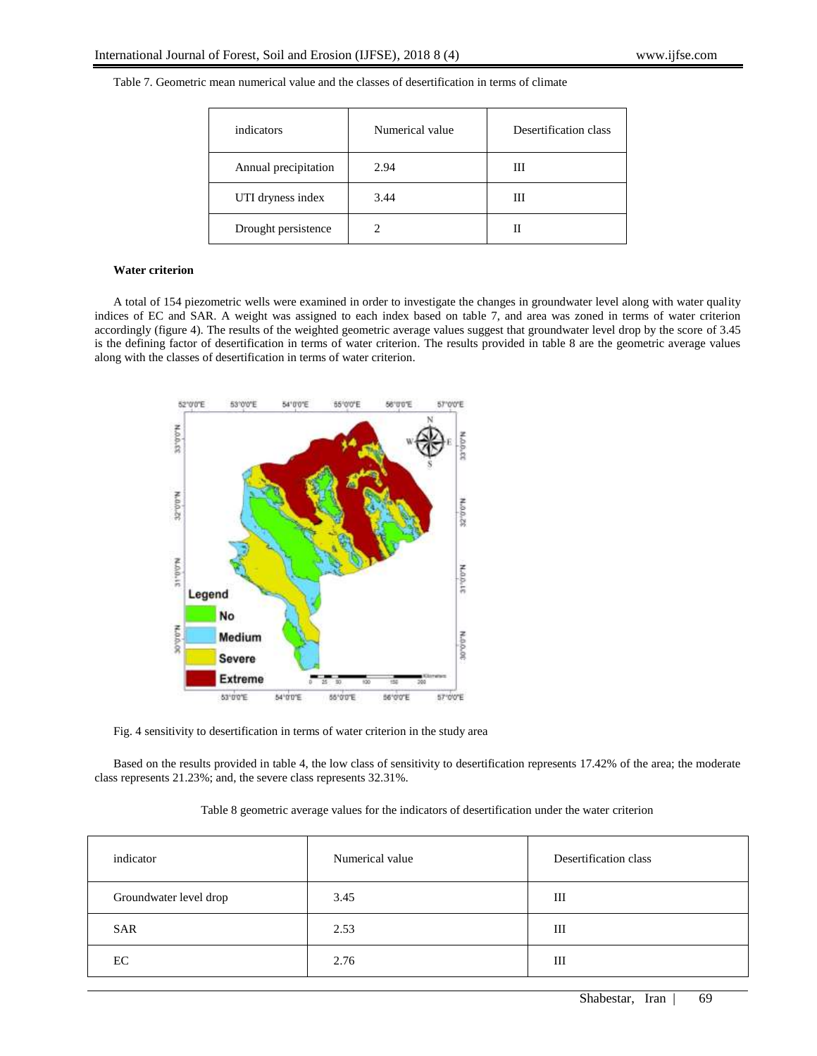Table 7. Geometric mean numerical value and the classes of desertification in terms of climate

| indicators           | Numerical value | Desertification class |
|----------------------|-----------------|-----------------------|
| Annual precipitation | 2.94            | Ш                     |
| UTI dryness index    | 3.44            | Ш                     |
| Drought persistence  |                 |                       |

## **Water criterion**

A total of 154 piezometric wells were examined in order to investigate the changes in groundwater level along with water quality indices of EC and SAR. A weight was assigned to each index based on table 7, and area was zoned in terms of water criterion accordingly (figure 4). The results of the weighted geometric average values suggest that groundwater level drop by the score of 3.45 is the defining factor of desertification in terms of water criterion. The results provided in table 8 are the geometric average values along with the classes of desertification in terms of water criterion.



Fig. 4 sensitivity to desertification in terms of water criterion in the study area

Based on the results provided in table 4, the low class of sensitivity to desertification represents 17.42% of the area; the moderate class represents 21.23%; and, the severe class represents 32.31%.

## Table 8 geometric average values for the indicators of desertification under the water criterion

| indicator              | Numerical value | Desertification class |
|------------------------|-----------------|-----------------------|
| Groundwater level drop | 3.45            | Ш                     |
| <b>SAR</b>             | 2.53            | Ш                     |
| EC                     | 2.76            | Ш                     |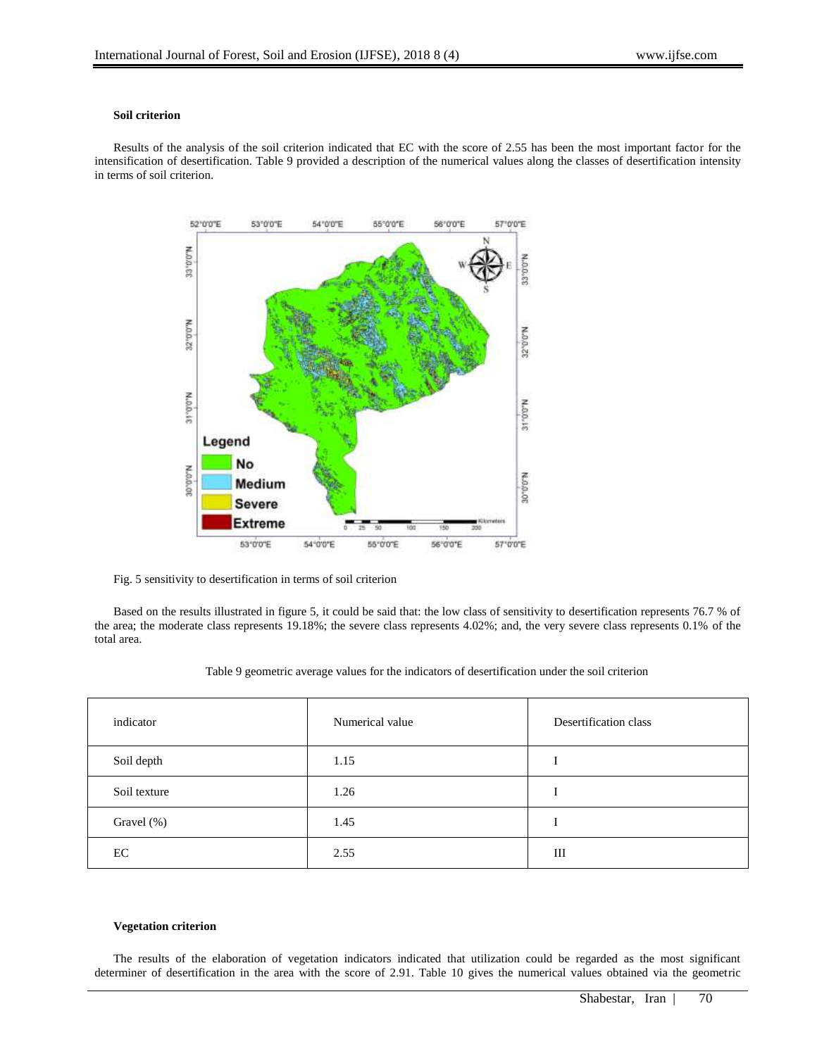#### **Soil criterion**

Results of the analysis of the soil criterion indicated that EC with the score of 2.55 has been the most important factor for the intensification of desertification. Table 9 provided a description of the numerical values along the classes of desertification intensity in terms of soil criterion.



Fig. 5 sensitivity to desertification in terms of soil criterion

Based on the results illustrated in figure 5, it could be said that: the low class of sensitivity to desertification represents 76.7 % of the area; the moderate class represents 19.18%; the severe class represents 4.02%; and, the very severe class represents 0.1% of the total area.

| indicator    | Numerical value | Desertification class |
|--------------|-----------------|-----------------------|
| Soil depth   | 1.15            |                       |
| Soil texture | 1.26            |                       |
| Gravel (%)   | 1.45            |                       |
| EC           | 2.55            | III                   |

Table 9 geometric average values for the indicators of desertification under the soil criterion

## **Vegetation criterion**

The results of the elaboration of vegetation indicators indicated that utilization could be regarded as the most significant determiner of desertification in the area with the score of 2.91. Table 10 gives the numerical values obtained via the geometric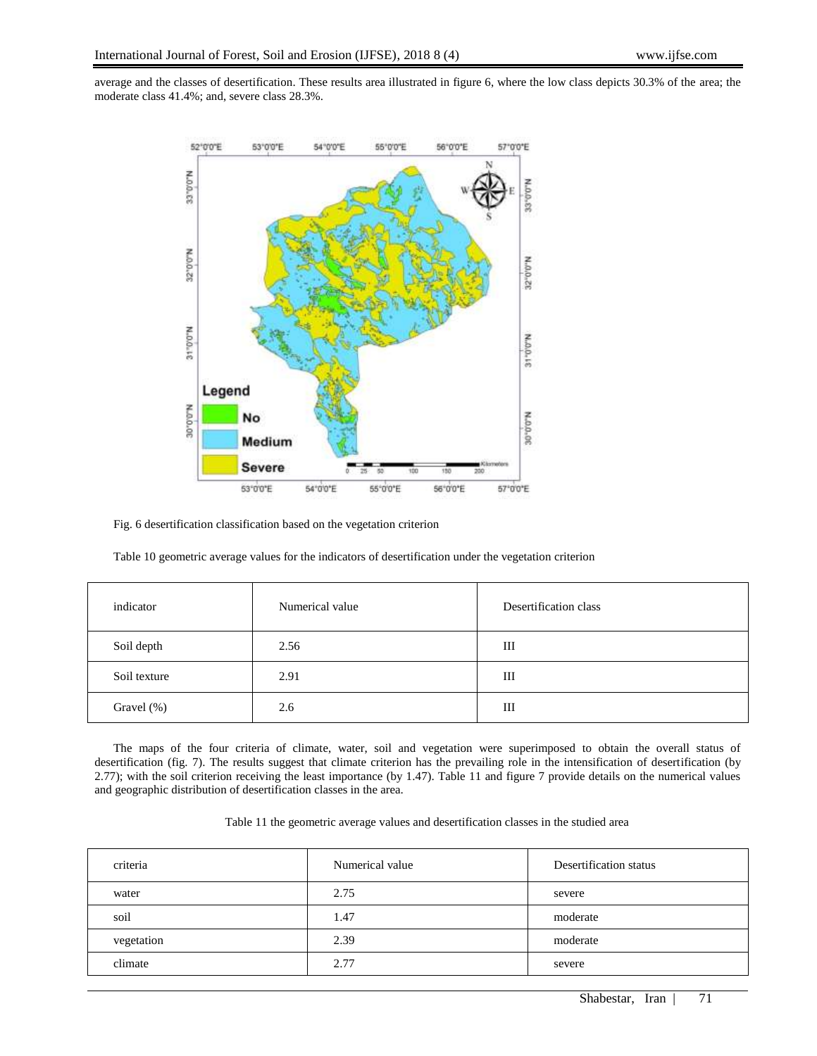average and the classes of desertification. These results area illustrated in figure 6, where the low class depicts 30.3% of the area; the moderate class 41.4%; and, severe class 28.3%.



Fig. 6 desertification classification based on the vegetation criterion

Table 10 geometric average values for the indicators of desertification under the vegetation criterion

| indicator    | Numerical value | Desertification class |
|--------------|-----------------|-----------------------|
| Soil depth   | 2.56            | Ш                     |
| Soil texture | 2.91            | Ш                     |
| Gravel (%)   | 2.6             | Ш                     |

The maps of the four criteria of climate, water, soil and vegetation were superimposed to obtain the overall status of desertification (fig. 7). The results suggest that climate criterion has the prevailing role in the intensification of desertification (by 2.77); with the soil criterion receiving the least importance (by 1.47). Table 11 and figure 7 provide details on the numerical values and geographic distribution of desertification classes in the area.

Table 11 the geometric average values and desertification classes in the studied area

| criteria   | Numerical value | Desertification status |
|------------|-----------------|------------------------|
| water      | 2.75            | severe                 |
| soil       | 1.47            | moderate               |
| vegetation | 2.39            | moderate               |
| climate    | 2.77            | severe                 |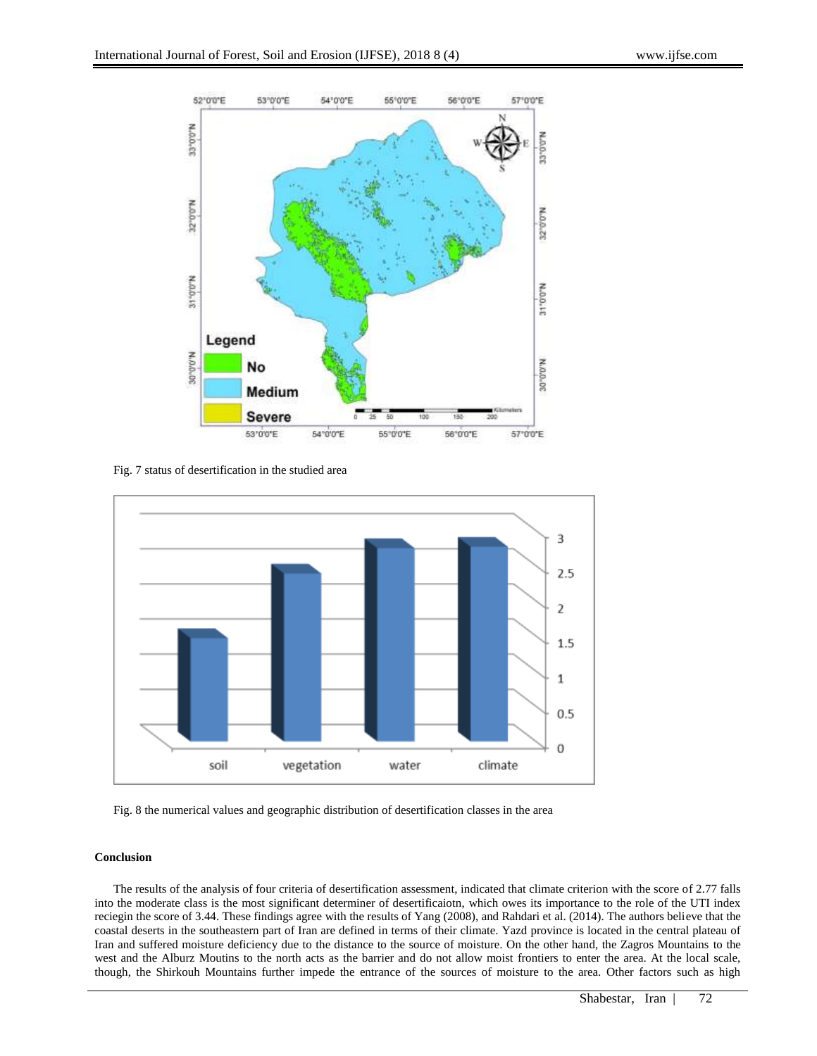

Fig. 7 status of desertification in the studied area



Fig. 8 the numerical values and geographic distribution of desertification classes in the area

# **Conclusion**

The results of the analysis of four criteria of desertification assessment, indicated that climate criterion with the score of 2.77 falls into the moderate class is the most significant determiner of desertificaiotn, which owes its importance to the role of the UTI index reciegin the score of 3.44. These findings agree with the results of Yang (2008), and Rahdari et al. (2014). The authors believe that the coastal deserts in the southeastern part of Iran are defined in terms of their climate. Yazd province is located in the central plateau of Iran and suffered moisture deficiency due to the distance to the source of moisture. On the other hand, the Zagros Mountains to the west and the Alburz Moutins to the north acts as the barrier and do not allow moist frontiers to enter the area. At the local scale, though, the Shirkouh Mountains further impede the entrance of the sources of moisture to the area. Other factors such as high